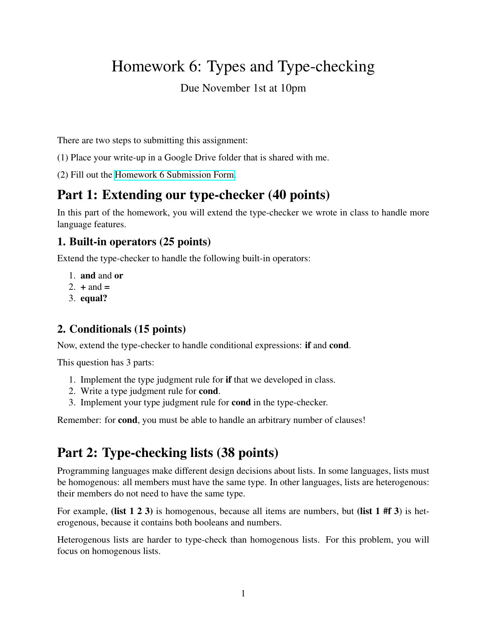# Homework 6: Types and Type-checking

### Due November 1st at 10pm

There are two steps to submitting this assignment:

- (1) Place your write-up in a Google Drive folder that is shared with me.
- (2) Fill out the [Homework 6 Submission Form.](https://forms.gle/KcN3CWpqVY2H5hJUA)

# Part 1: Extending our type-checker (40 points)

In this part of the homework, you will extend the type-checker we wrote in class to handle more language features.

### 1. Built-in operators (25 points)

Extend the type-checker to handle the following built-in operators:

- 1. and and or
- 2.  $+$  and  $=$
- 3. equal?

### 2. Conditionals (15 points)

Now, extend the type-checker to handle conditional expressions: if and cond.

This question has 3 parts:

- 1. Implement the type judgment rule for if that we developed in class.
- 2. Write a type judgment rule for cond.
- 3. Implement your type judgment rule for cond in the type-checker.

Remember: for cond, you must be able to handle an arbitrary number of clauses!

# Part 2: Type-checking lists (38 points)

Programming languages make different design decisions about lists. In some languages, lists must be homogenous: all members must have the same type. In other languages, lists are heterogenous: their members do not need to have the same type.

For example, (list 1 2 3) is homogenous, because all items are numbers, but (list 1 #f 3) is heterogenous, because it contains both booleans and numbers.

Heterogenous lists are harder to type-check than homogenous lists. For this problem, you will focus on homogenous lists.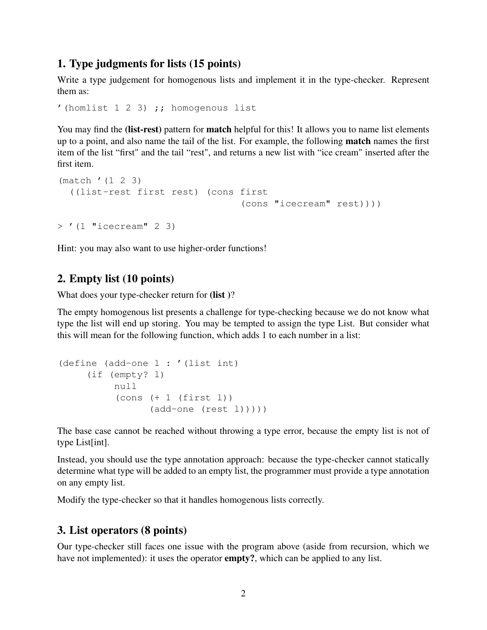#### 1. Type judgments for lists (15 points)

Write a type judgement for homogenous lists and implement it in the type-checker. Represent them as:

```
'(homlist 1 2 3) ;; homogenous list
```
You may find the (list-rest) pattern for **match** helpful for this! It allows you to name list elements up to a point, and also name the tail of the list. For example, the following match names the first item of the list "first" and the tail "rest", and returns a new list with "ice cream" inserted after the first item.

```
(match '(1 2 3)
  ((list-rest first rest) (cons first
                                 (cons "icecream" rest))))
> '(1 "icecream" 2 3)
```
Hint: you may also want to use higher-order functions!

#### 2. Empty list (10 points)

What does your type-checker return for (list)?

The empty homogenous list presents a challenge for type-checking because we do not know what type the list will end up storing. You may be tempted to assign the type List. But consider what this will mean for the following function, which adds 1 to each number in a list:

```
(define (add-one l : '(list int)
     (if (empty? l)
           null
           (cons (+ 1 (first 1))(\text{add-one} (\text{rest } l))))
```
The base case cannot be reached without throwing a type error, because the empty list is not of type List[int].

Instead, you should use the type annotation approach: because the type-checker cannot statically determine what type will be added to an empty list, the programmer must provide a type annotation on any empty list.

Modify the type-checker so that it handles homogenous lists correctly.

#### 3. List operators (8 points)

Our type-checker still faces one issue with the program above (aside from recursion, which we have not implemented): it uses the operator **empty?**, which can be applied to any list.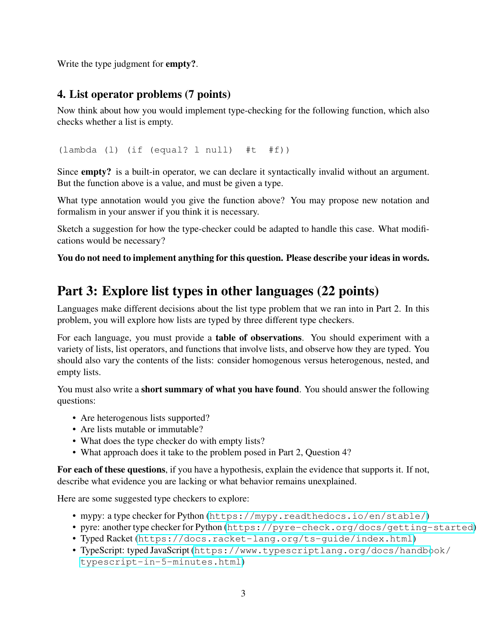Write the type judgment for **empty?**.

### 4. List operator problems (7 points)

Now think about how you would implement type-checking for the following function, which also checks whether a list is empty.

(lambda (l) (if (equal? l null) #t #f))

Since empty? is a built-in operator, we can declare it syntactically invalid without an argument. But the function above is a value, and must be given a type.

What type annotation would you give the function above? You may propose new notation and formalism in your answer if you think it is necessary.

Sketch a suggestion for how the type-checker could be adapted to handle this case. What modifications would be necessary?

You do not need to implement anything for this question. Please describe your ideas in words.

## Part 3: Explore list types in other languages (22 points)

Languages make different decisions about the list type problem that we ran into in Part 2. In this problem, you will explore how lists are typed by three different type checkers.

For each language, you must provide a table of observations. You should experiment with a variety of lists, list operators, and functions that involve lists, and observe how they are typed. You should also vary the contents of the lists: consider homogenous versus heterogenous, nested, and empty lists.

You must also write a short summary of what you have found. You should answer the following questions:

- Are heterogenous lists supported?
- Are lists mutable or immutable?
- What does the type checker do with empty lists?
- What approach does it take to the problem posed in Part 2, Question 4?

For each of these questions, if you have a hypothesis, explain the evidence that supports it. If not, describe what evidence you are lacking or what behavior remains unexplained.

Here are some suggested type checkers to explore:

- mypy: a type checker for Python (<https://mypy.readthedocs.io/en/stable/>)
- pyre: another type checker for Python (<https://pyre-check.org/docs/getting-started>)
- Typed Racket (<https://docs.racket-lang.org/ts-guide/index.html>)
- TypeScript: typed JavaScript ([https://www.typescriptlang.org/docs/handbo](https://www.typescriptlang.org/docs/handbook/typescript-in-5-minutes.html)ok/ [typescript-in-5-minutes.html](https://www.typescriptlang.org/docs/handbook/typescript-in-5-minutes.html))